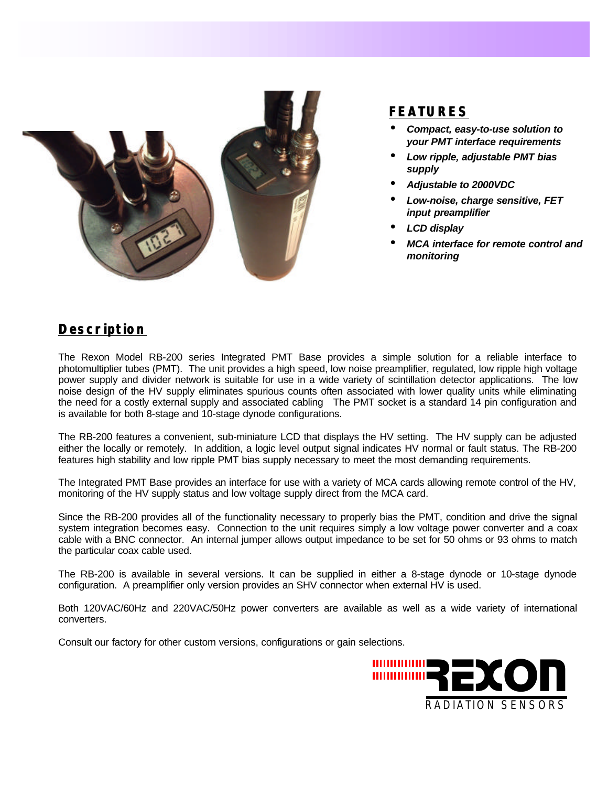

## **FEATURES**

- *Compact, easy-to-use solution to your PMT interface requirements*
- *Low ripple, adjustable PMT bias supply*
- *Adjustable to 2000VDC*
- *Low-noise, charge sensitive, FET input preamplifier*
- *LCD display*
- *MCA interface for remote control and monitoring*

## **Description**

The Rexon Model RB-200 series Integrated PMT Base provides a simple solution for a reliable interface to photomultiplier tubes (PMT). The unit provides a high speed, low noise preamplifier, regulated, low ripple high voltage power supply and divider network is suitable for use in a wide variety of scintillation detector applications. The low noise design of the HV supply eliminates spurious counts often associated with lower quality units while eliminating the need for a costly external supply and associated cabling The PMT socket is a standard 14 pin configuration and is available for both 8-stage and 10-stage dynode configurations.

The RB-200 features a convenient, sub-miniature LCD that displays the HV setting. The HV supply can be adjusted either the locally or remotely. In addition, a logic level output signal indicates HV normal or fault status. The RB-200 features high stability and low ripple PMT bias supply necessary to meet the most demanding requirements.

The Integrated PMT Base provides an interface for use with a variety of MCA cards allowing remote control of the HV, monitoring of the HV supply status and low voltage supply direct from the MCA card.

Since the RB-200 provides all of the functionality necessary to properly bias the PMT, condition and drive the signal system integration becomes easy. Connection to the unit requires simply a low voltage power converter and a coax cable with a BNC connector. An internal jumper allows output impedance to be set for 50 ohms or 93 ohms to match the particular coax cable used.

The RB-200 is available in several versions. It can be supplied in either a 8-stage dynode or 10-stage dynode configuration. A preamplifier only version provides an SHV connector when external HV is used.

Both 120VAC/60Hz and 220VAC/50Hz power converters are available as well as a wide variety of international converters.

Consult our factory for other custom versions, configurations or gain selections.